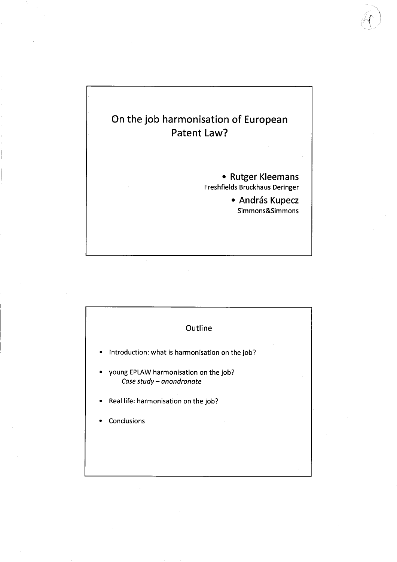# On the job harmonisation of European Patent Law? · Rutger Kleemans Freshfields Bruckhaus Deringer · András Kupecz Simmons&Simmons

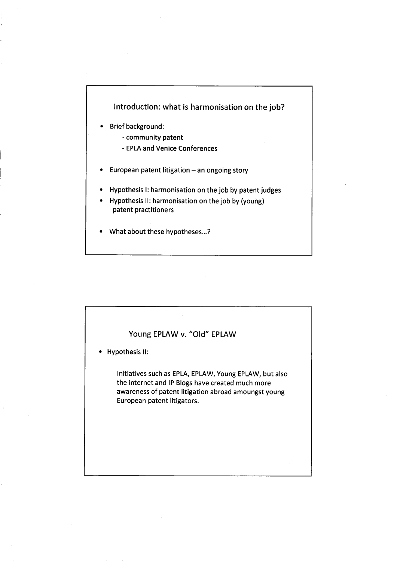# Introduction: what is harmonisation on the job?

- · Briefbackground:
	- community patent
	- EPLA and Venice Conferences
- European patent litigation an ongoing story
- · Hypothesis i: harmonisation on the job by patent judges
- · Hypothesis 11: harmonisation on the job by (young) patent practitioners
- · What about these hypotheses...?

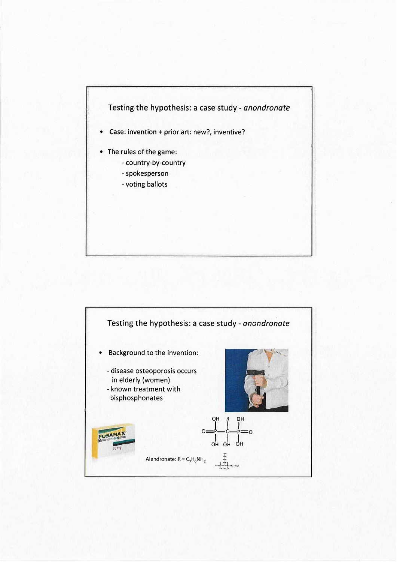

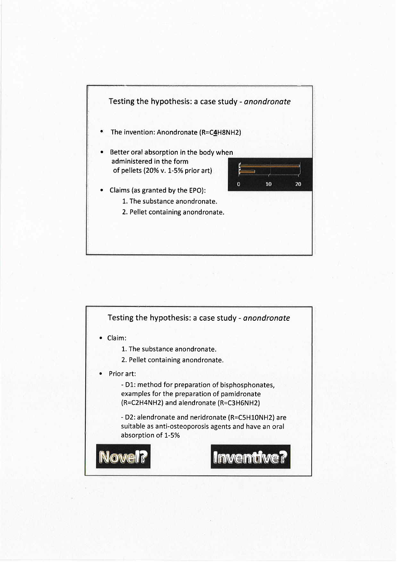

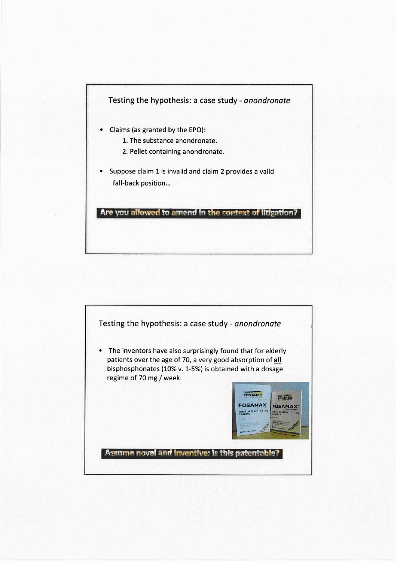

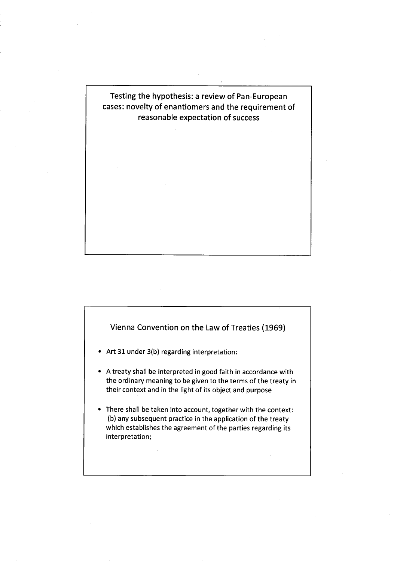

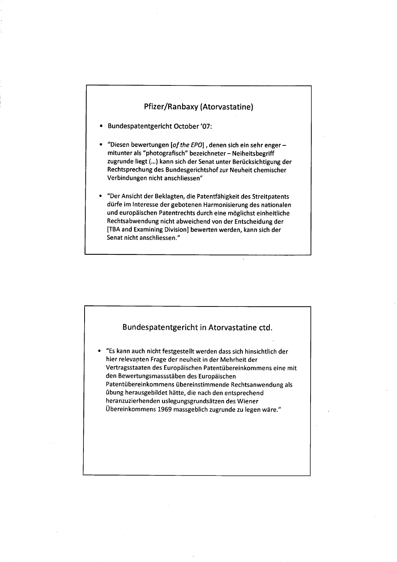## Pfizer/Ranbaxy (Atorvastatine)

- · Bundespatentgericht October '07:
- "Diesen bewertungen [of the EPO], denen sich ein sehr engermitunter als "photografisch" bezeichneter - Neiheitsbegriff zugrunde Iiegt (...) kann sich der Senat unter Berücksichtigung der Rechtsprechung des Bundesgerichtshof zur Neuheit chemischer Verbindungen nicht anschliessen"
- · "Der Ansicht der Beklagten, die Patentfähigkeit des Streitpatents dürfe im Interesse der gebotenen Harmonisierung des nationalen und europäischen Patentrechts durch eine möglichst einheitliche Rechtsabwendung nicht abweichend von der Entscheidung der (TBA and Examining Division) bewerten werden, kann sich der Senat nicht anschliessen."

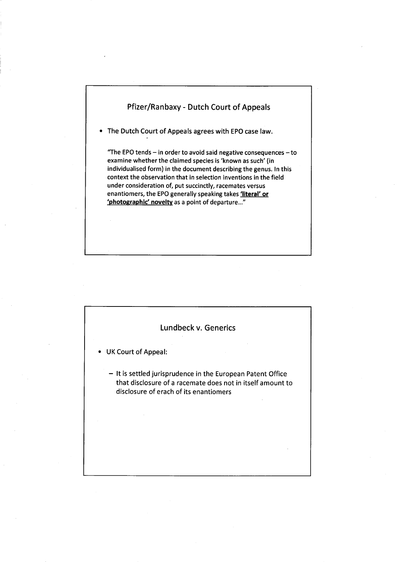## Pfizer/Ranbaxy - Dutch Court of Appeals

· The Dutch Court of Appeals agrees with EPO case law.

"The EPO tends  $-$  in order to avoid said negative consequences  $-$  to examine whether the claimed species is 'known as such' (in individualised form) in the document describing the genus. In this context the observation that in selection inventions in the field under consideration of, put succinctly, racemates versus enantiomers, the EPO generally speaking takes *'literal' or* 'photographic' novelty as a point of departure..."

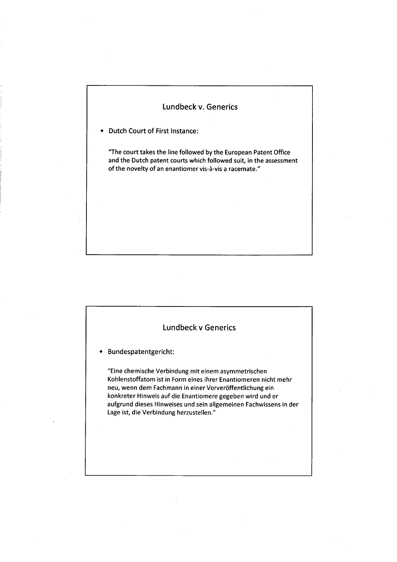# Lundbeck v. Generics

· Dutch Court of First Instance:

"The court takes the line followed by the European Patent Office and the Dutch patent courts which followed suit, in the assessment of the novelty of an enantiomer vis-à-vis a racemate."

# Lundbeck V Generics · Bundespatentgericht: "Eine chemische Verbindung mit einem asymmetrischen Kohlenstoffatom ist in Form eines ihrer Enantiomeren nicht mehr neu, wenn dem Fachmann in einer Vorveröffentlichung ein konkreter Hinweis auf die Enantiomere gegeben wird und er aufgrund dieses Hinweises und sein allgemeinen Fachwissens in der Lage ist, die Verbindung herzustellen."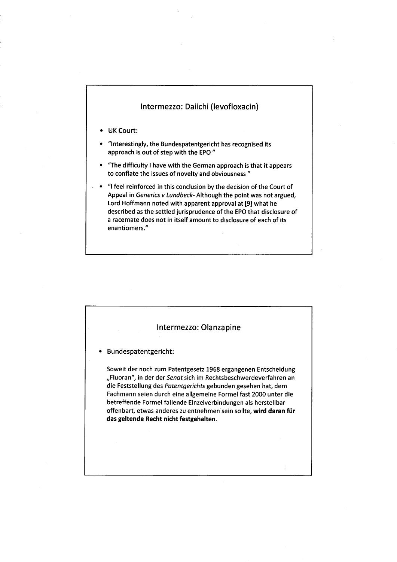#### Intermezzo: Daiichi (Ievofloxacin)

- · UK Court:
- · "Interestingly, the Bundespatentgericht has recognised its approach is out of step with the EPO "
- "The difficulty I have with the German approach is that it appears to conflate the issues of novelty and obviousness "
- · "i feel reinforced in this conclusion by the decision of the Court of Appeal in Generics v Lundbeck- Although the point was not argued, Lord Hoffmann noted with apparent approval at (9) what he described as the settled jurisprudence of the EPO that disclosure of a racemate does not in itself amount to disclosure of each of its enantiomers."

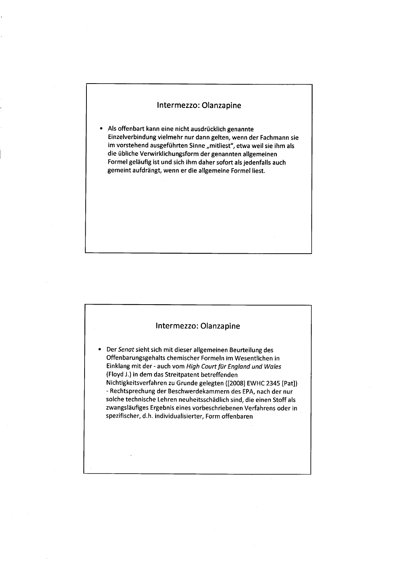#### Intermezzo: Olanzapine

· Als offenbart kann eine nicht ausdrücklich genannte Einzelverbindung vielmehr nur dann gelten, wenn der Fachmann sie im vorstehend ausgeführten Sinne "mitliest", etwa weil sie ihm als die übliche Verwirklichungsform der genannten allgemeinen Formel geläufig ist und sich ihm daher sofort als jedenfalls auch gemeint aufdrängt, wenn er die allgemeine Formel liest.

#### Intermezzo: Olanzapine

· Der Senat sieht sich mit dieser allgemeinen Beurteilung des Offenbarungsgehalts chemischer Formeln im Wesentlichen in Einklang mit der - auch vom High Court für England und Wales (Floyd J.) in dem das Streitpatent betreffenden Nichtigkeitsverfahren zuGrunde gelegten ((2008) EWHC 2345 (Pat)) - Rechtsprechung der Beschwerdekammern des EPA, nach der nur solche technische Lehren neuheitsschädlich sind, die einen Stoff als zwangsläufiges Ergebnis eines vorbeschriebenen Verfahrens oder in spezifischer, d.h. individualisierter, Form offenbaren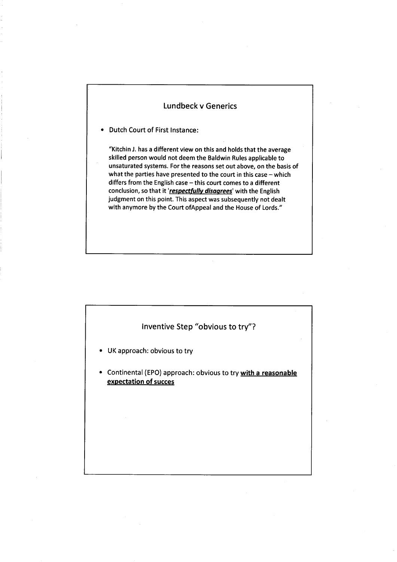#### Lundbeck v Generics

· Dutch Court of First Instance:

"Kitchin J. has a different view on this and holds that the average skilled person would not deem the Baldwin Rules applicable to unsaturated systems. For the reasons set out above, on the basis of what the parties have presented to the court in this case  $-$  which differs from the English case  $-$  this court comes to a different conclusion, so that it 'respectfully disagrees' with the English judgment on this point. This aspect was subsequently not dealt with anymore by the Court of Appeal and the House of Lords."

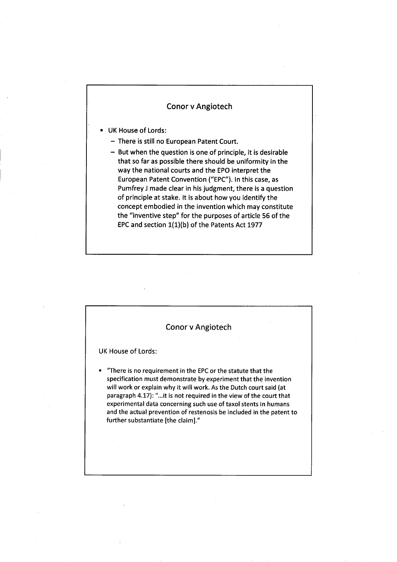## Conor v Angiotech

- · UK House of Lords:
	- There is still no European Patent Court.
	- $-$  But when the question is one of principle, it is desirable that so far as possible there should be uniformity in the way the national courts and the EPO interpret the European Patent Convention ("EPC"). In this case, as Pumfrey J made clear in his judgment, there is a question of principle at stake. It is about how you identify the concept embodied in the invention which may constitute the "inventive step" for the purposes of article 56 of the EPC and section 1(1)(b) of the Patents Act 1977

|                    | <b>Conor v Angiotech</b>                                                                                                                                                                                                                                                                                                                                                                                                                                    |
|--------------------|-------------------------------------------------------------------------------------------------------------------------------------------------------------------------------------------------------------------------------------------------------------------------------------------------------------------------------------------------------------------------------------------------------------------------------------------------------------|
| UK House of Lords: |                                                                                                                                                                                                                                                                                                                                                                                                                                                             |
|                    | "There is no requirement in the EPC or the statute that the<br>specification must demonstrate by experiment that the invention<br>will work or explain why it will work. As the Dutch court said (at<br>paragraph 4.17): "it is not required in the view of the court that<br>experimental data concerning such use of taxol stents in humans<br>and the actual prevention of restenosis be included in the patent to<br>further substantiate [the claim]." |
|                    |                                                                                                                                                                                                                                                                                                                                                                                                                                                             |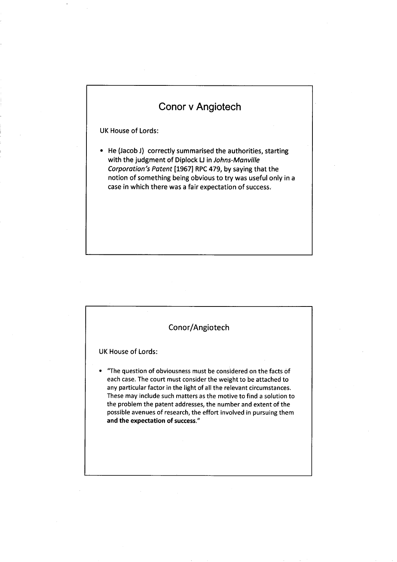# Conor v Angiotech

UK House of Lords:

· He (Jacob J) correctly summarised the authorities, starting with the judgment of Diplock LJ in Johns-Manville Corporation's Patent (1967) RPC 479, by saying that the notion of something being obvious to try was useful only in a case in which there was a fair expectation of success.

| Conor/Angiotech                                                                                                                                                                                                                                                                                                                                                                                                                                               |  |
|---------------------------------------------------------------------------------------------------------------------------------------------------------------------------------------------------------------------------------------------------------------------------------------------------------------------------------------------------------------------------------------------------------------------------------------------------------------|--|
| UK House of Lords:                                                                                                                                                                                                                                                                                                                                                                                                                                            |  |
| "The question of obviousness must be considered on the facts of<br>each case. The court must consider the weight to be attached to<br>any particular factor in the light of all the relevant circumstances.<br>These may include such matters as the motive to find a solution to<br>the problem the patent addresses, the number and extent of the<br>possible avenues of research, the effort involved in pursuing them<br>and the expectation of success." |  |